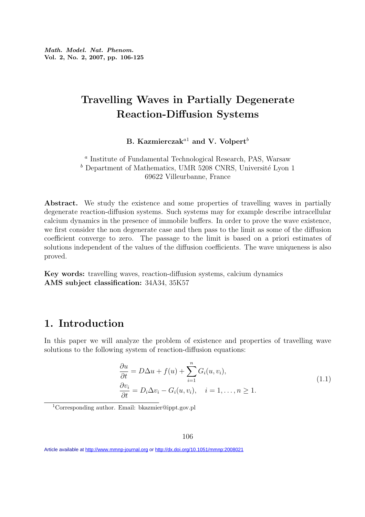# Travelling Waves in Partially Degenerate Reaction-Diffusion Systems

B. Kazmierczak<sup>a1</sup> and V. Volpert<sup>b</sup>

a Institute of Fundamental Technological Research, PAS, Warsaw  $<sup>b</sup>$  Department of Mathematics, UMR 5208 CNRS, Université Lyon 1</sup> 69622 Villeurbanne, France

Abstract. We study the existence and some properties of travelling waves in partially degenerate reaction-diffusion systems. Such systems may for example describe intracellular calcium dynamics in the presence of immobile buffers. In order to prove the wave existence, we first consider the non degenerate case and then pass to the limit as some of the diffusion coefficient converge to zero. The passage to the limit is based on a priori estimates of solutions independent of the values of the diffusion coefficients. The wave uniqueness is also proved.

Key words: travelling waves, reaction-diffusion systems, calcium dynamics AMS subject classification: 34A34, 35K57

## 1. Introduction

In this paper we will analyze the problem of existence and properties of travelling wave solutions to the following system of reaction-diffusion equations:

$$
\frac{\partial u}{\partial t} = D\Delta u + f(u) + \sum_{i=1}^{n} G_i(u, v_i),
$$
  
\n
$$
\frac{\partial v_i}{\partial t} = D_i \Delta v_i - G_i(u, v_i), \quad i = 1, ..., n \ge 1.
$$
\n(1.1)

<sup>1</sup>Corresponding author. Email: bkazmier@ippt.gov.pl

Article available at<http://www.mmnp-journal.org> or <http://dx.doi.org/10.1051/mmnp:2008021>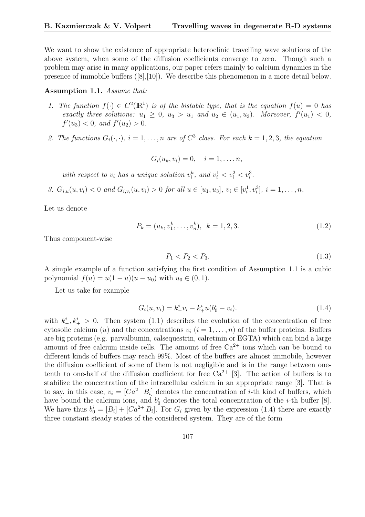We want to show the existence of appropriate heteroclinic travelling wave solutions of the above system, when some of the diffusion coefficients converge to zero. Though such a problem may arise in many applications, our paper refers mainly to calcium dynamics in the presence of immobile buffers ([8],[10]). We describe this phenomenon in a more detail below.

#### Assumption 1.1. Assume that:

- 1. The function  $f(\cdot) \in C^2(\mathbb{R}^1)$  is of the bistable type, that is the equation  $f(u) = 0$  has exactly three solutions:  $u_1 \geq 0$ ,  $u_3 > u_1$  and  $u_2 \in (u_1, u_3)$ . Moreover,  $f'(u_1) < 0$ ,  $f'(u_3) < 0$ , and  $f'(u_2) > 0$ .
- 2. The functions  $G_i(\cdot, \cdot)$ ,  $i = 1, \ldots, n$  are of  $C^3$  class. For each  $k = 1, 2, 3$ , the equation

$$
G_i(u_k, v_i) = 0, \quad i = 1, \ldots, n,
$$

with respect to  $v_i$  has a unique solution  $v_i^k$ , and  $v_i^1 < v_i^2 < v_i^3$ .

3.  $G_{i,u}(u, v_i) < 0$  and  $G_{i,v_i}(u, v_i) > 0$  for all  $u \in [u_1, u_3], v_i \in [v_i^1, v_i^3], i = 1, ..., n$ .

Let us denote

$$
P_k = (u_k, v_1^k, \dots, v_n^k), \quad k = 1, 2, 3. \tag{1.2}
$$

Thus component-wise

$$
P_1 < P_2 < P_3. \tag{1.3}
$$

A simple example of a function satisfying the first condition of Assumption 1.1 is a cubic polynomial  $f(u) = u(1 - u)(u - u_0)$  with  $u_0 \in (0, 1)$ .

Let us take for example

$$
G_i(u, v_i) = k^i_- v_i - k^i_+ u(b^i_0 - v_i).
$$
\n(1.4)

with  $k_{-}^{i}, k_{+}^{i} > 0$ . Then system (1.1) describes the evolution of the concentration of free cytosolic calcium (u) and the concentrations  $v_i$  ( $i = 1, \ldots, n$ ) of the buffer proteins. Buffers are big proteins (e.g. parvalbumin, calsequestrin, calretinin or EGTA) which can bind a large amount of free calcium inside cells. The amount of free  $Ca^{2+}$  ions which can be bound to different kinds of buffers may reach 99%. Most of the buffers are almost immobile, however the diffusion coefficient of some of them is not negligible and is in the range between onetenth to one-half of the diffusion coefficient for free  $Ca^{2+}$  [3]. The action of buffers is to stabilize the concentration of the intracellular calcium in an appropriate range [3]. That is to say, in this case,  $v_i = [Ca^{2+}B_i]$  denotes the concentration of *i*-th kind of buffers, which have bound the calcium ions, and  $b_0^i$  denotes the total concentration of the *i*-th buffer [8]. We have thus  $b_0^i = [B_i] + [Ca^{2+}B_i]$ . For  $G_i$  given by the expression (1.4) there are exactly three constant steady states of the considered system. They are of the form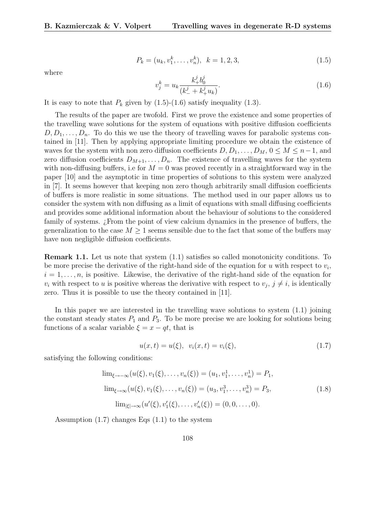$$
P_k = (u_k, v_1^k, \dots, v_n^k), \quad k = 1, 2, 3,
$$
\n
$$
(1.5)
$$

where

$$
v_j^k = u_k \frac{k_+^j b_0^j}{(k_-^j + k_+^j u_k)}.\tag{1.6}
$$

It is easy to note that  $P_k$  given by  $(1.5)-(1.6)$  satisfy inequality  $(1.3)$ .

The results of the paper are twofold. First we prove the existence and some properties of the travelling wave solutions for the system of equations with positive diffusion coefficients  $D, D_1, \ldots, D_n$ . To do this we use the theory of travelling waves for parabolic systems contained in [11]. Then by applying appropriate limiting procedure we obtain the existence of waves for the system with non zero diffusion coefficients  $D, D_1, \ldots, D_M, 0 \leq M \leq n-1$ , and zero diffusion coefficients  $D_{M+1}, \ldots, D_n$ . The existence of travelling waves for the system with non-diffusing buffers, i.e for  $M = 0$  was proved recently in a straightforward way in the paper [10] and the asymptotic in time properties of solutions to this system were analyzed in [7]. It seems however that keeping non zero though arbitrarily small diffusion coefficients of buffers is more realistic in some situations. The method used in our paper allows us to consider the system with non diffusing as a limit of equations with small diffusing coefficients and provides some additional information about the behaviour of solutions to the considered family of systems. ¿From the point of view calcium dynamics in the presence of buffers, the generalization to the case  $M \geq 1$  seems sensible due to the fact that some of the buffers may have non negligible diffusion coefficients.

Remark 1.1. Let us note that system (1.1) satisfies so called monotonicity conditions. To be more precise the derivative of the right-hand side of the equation for  $u$  with respect to  $v_i$ ,  $i = 1, \ldots, n$ , is positive. Likewise, the derivative of the right-hand side of the equation for  $v_i$  with respect to u is positive whereas the derivative with respect to  $v_j$ ,  $j \neq i$ , is identically zero. Thus it is possible to use the theory contained in [11].

In this paper we are interested in the travelling wave solutions to system (1.1) joining the constant steady states  $P_1$  and  $P_3$ . To be more precise we are looking for solutions being functions of a scalar variable  $\xi = x - qt$ , that is

$$
u(x,t) = u(\xi), \ \ v_i(x,t) = v_i(\xi), \tag{1.7}
$$

satisfying the following conditions:

$$
\lim_{\xi \to -\infty} (u(\xi), v_1(\xi), \dots, v_n(\xi)) = (u_1, v_1^1, \dots, v_n^1) = P_1,
$$
  
\n
$$
\lim_{\xi \to \infty} (u(\xi), v_1(\xi), \dots, v_n(\xi)) = (u_3, v_1^3, \dots, v_n^3) = P_3,
$$
  
\n
$$
\lim_{|\xi| \to \infty} (u'(\xi), v'_1(\xi), \dots, v'_n(\xi)) = (0, 0, \dots, 0).
$$
\n(1.8)

Assumption  $(1.7)$  changes Eqs  $(1.1)$  to the system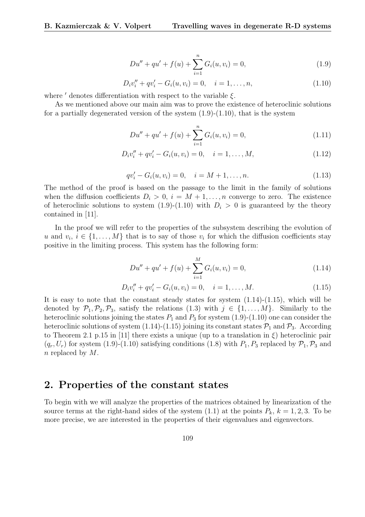$$
Du'' + qu' + f(u) + \sum_{i=1}^{n} G_i(u, v_i) = 0,
$$
\n(1.9)

$$
D_i v''_i + qv'_i - G_i(u, v_i) = 0, \quad i = 1, \dots, n,
$$
\n(1.10)

where  $\prime$  denotes differentiation with respect to the variable  $\xi$ .

As we mentioned above our main aim was to prove the existence of heteroclinic solutions for a partially degenerated version of the system  $(1.9)-(1.10)$ , that is the system

$$
Du'' + qu' + f(u) + \sum_{i=1}^{n} G_i(u, v_i) = 0,
$$
\n(1.11)

$$
D_i v_i'' + qv_i' - G_i(u, v_i) = 0, \quad i = 1, ..., M,
$$
\n(1.12)

$$
qv'_{i} - G_{i}(u, v_{i}) = 0, \quad i = M + 1, \dots, n.
$$
\n(1.13)

The method of the proof is based on the passage to the limit in the family of solutions when the diffusion coefficients  $D_i > 0$ ,  $i = M + 1, \ldots, n$  converge to zero. The existence of heteroclinic solutions to system  $(1.9)-(1.10)$  with  $D<sub>i</sub> > 0$  is guaranteed by the theory contained in [11].

In the proof we will refer to the properties of the subsystem describing the evolution of u and  $v_i, i \in \{1, ..., M\}$  that is to say of those  $v_i$  for which the diffusion coefficients stay positive in the limiting process. This system has the following form:

$$
Du'' + qu' + f(u) + \sum_{i=1}^{M} G_i(u, v_i) = 0,
$$
\n(1.14)

$$
D_i v_i'' + q v_i' - G_i(u, v_i) = 0, \quad i = 1, ..., M.
$$
\n(1.15)

It is easy to note that the constant steady states for system  $(1.14)-(1.15)$ , which will be denoted by  $\mathcal{P}_1, \mathcal{P}_2, \mathcal{P}_3$ , satisfy the relations (1.3) with  $j \in \{1, ..., M\}$ . Similarly to the heteroclinic solutions joining the states  $P_1$  and  $P_3$  for system (1.9)-(1.10) one can consider the heteroclinic solutions of system (1.14)-(1.15) joining its constant states  $P_1$  and  $P_3$ . According to Theorem 2.1 p.15 in [11] there exists a unique (up to a translation in  $\xi$ ) heteroclinic pair  $(q_r, U_r)$  for system (1.9)-(1.10) satisfying conditions (1.8) with  $P_1, P_3$  replaced by  $\mathcal{P}_1, \mathcal{P}_3$  and n replaced by M.

### 2. Properties of the constant states

To begin with we will analyze the properties of the matrices obtained by linearization of the source terms at the right-hand sides of the system  $(1.1)$  at the points  $P_k$ ,  $k = 1, 2, 3$ . To be more precise, we are interested in the properties of their eigenvalues and eigenvectors.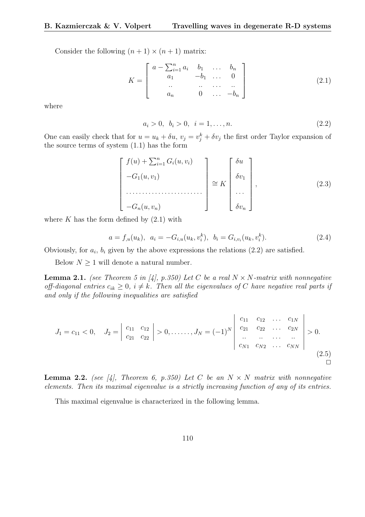Consider the following  $(n + 1) \times (n + 1)$  matrix:

$$
K = \begin{bmatrix} a - \sum_{i=1}^{n} a_i & b_1 & \dots & b_n \\ a_1 & -b_1 & \dots & 0 \\ \dots & \dots & \dots & \dots \\ a_n & 0 & \dots & -b_n \end{bmatrix}
$$
 (2.1)

where

$$
a_i > 0, \ b_i > 0, \ i = 1, \dots, n. \tag{2.2}
$$

One can easily check that for  $u = u_k + \delta u$ ,  $v_j = v_j^k + \delta v_j$  the first order Taylor expansion of the source terms of system (1.1) has the form

$$
\begin{bmatrix}\nf(u) + \sum_{i=1}^{n} G_i(u, v_i) \\
-G_1(u, v_1) \\
\vdots \\
-G_n(u, v_n)\n\end{bmatrix} \cong K \begin{bmatrix}\n\delta u \\
\delta v_1 \\
\vdots \\
\delta v_n\n\end{bmatrix},
$$
\n(2.3)

where  $K$  has the form defined by  $(2.1)$  with

$$
a = f_{,u}(u_k), \ \ a_i = -G_{i,u}(u_k, v_i^k), \ \ b_i = G_{i,v_i}(u_k, v_i^k). \tag{2.4}
$$

Obviously, for  $a_i$ ,  $b_i$  given by the above expressions the relations  $(2.2)$  are satisfied.

Below  $N \geq 1$  will denote a natural number.

**Lemma 2.1.** (see Theorem 5 in [4], p.350) Let C be a real  $N \times N$ -matrix with nonnegative off-diagonal entries  $c_{ik} \geq 0$ ,  $i \neq k$ . Then all the eigenvalues of C have negative real parts if and only if the following inequalities are satisfied

$$
J_1 = c_{11} < 0, \quad J_2 = \begin{vmatrix} c_{11} & c_{12} \\ c_{21} & c_{22} \end{vmatrix} > 0, \dots, J_N = (-1)^N \begin{vmatrix} c_{11} & c_{12} & \dots & c_{1N} \\ c_{21} & c_{22} & \dots & c_{2N} \\ \dots & \dots & \dots & \dots \\ c_{N1} & c_{N2} & \dots & c_{NN} \end{vmatrix} > 0. \tag{2.5}
$$

**Lemma 2.2.** (see [4], Theorem 6, p.350) Let C be an  $N \times N$  matrix with nonnegative elements. Then its maximal eigenvalue is a strictly increasing function of any of its entries.

This maximal eigenvalue is characterized in the following lemma.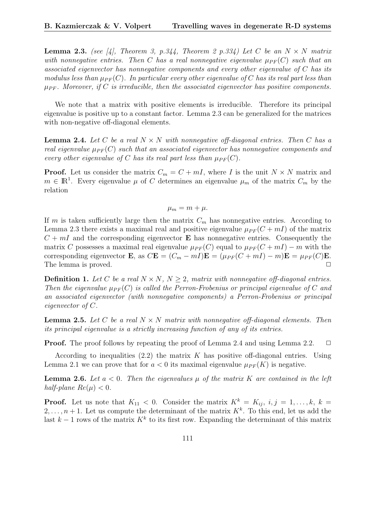**Lemma 2.3.** (see [4], Theorem 3, p.344, Theorem 2 p.334) Let C be an  $N \times N$  matrix with nonnegative entries. Then C has a real nonnegative eigenvalue  $\mu_{PF}(C)$  such that an associated eigenvector has nonnegative components and every other eigenvalue of C has its modulus less than  $\mu_{PF}(C)$ . In particular every other eigenvalue of C has its real part less than  $\mu_{PF}$ . Moreover, if C is irreducible, then the associated eigenvector has positive components.

We note that a matrix with positive elements is irreducible. Therefore its principal eigenvalue is positive up to a constant factor. Lemma 2.3 can be generalized for the matrices with non-negative off-diagonal elements.

**Lemma 2.4.** Let C be a real  $N \times N$  with nonnegative off-diagonal entries. Then C has a real eigenvalue  $\mu_{PF}(C)$  such that an associated eigenvector has nonnegative components and every other eigenvalue of C has its real part less than  $\mu_{PF}(C)$ .

**Proof.** Let us consider the matrix  $C_m = C + mI$ , where I is the unit  $N \times N$  matrix and  $m \in \mathbb{R}^1$ . Every eigenvalue  $\mu$  of C determines an eigenvalue  $\mu_m$  of the matrix  $C_m$  by the relation

$$
\mu_m = m + \mu.
$$

If m is taken sufficiently large then the matrix  $C_m$  has nonnegative entries. According to Lemma 2.3 there exists a maximal real and positive eigenvalue  $\mu_{PF}(C + mI)$  of the matrix  $C + mI$  and the corresponding eigenvector **E** has nonnegative entries. Consequently the matrix C possesses a maximal real eigenvalue  $\mu_{PF}(C)$  equal to  $\mu_{PF}(C + mI) - m$  with the corresponding eigenvector **E**, as  $C\mathbf{E} = (C_m - mI)\mathbf{E} = (\mu_{PF}(C + mI) - m)\mathbf{E} = \mu_{PF}(C)\mathbf{E}$ . The lemma is proved.  $\Box$ 

**Definition 1.** Let C be a real  $N \times N$ ,  $N \geq 2$ , matrix with nonnegative off-diagonal entries. Then the eigenvalue  $\mu_{PF}(C)$  is called the Perron-Frobenius or principal eigenvalue of C and an associated eigenvector (with nonnegative components) a Perron-Frobenius or principal eigenvector of C.

**Lemma 2.5.** Let C be a real  $N \times N$  matrix with nonnegative off-diagonal elements. Then its principal eigenvalue is a strictly increasing function of any of its entries.

**Proof.** The proof follows by repeating the proof of Lemma 2.4 and using Lemma 2.2.  $\Box$ 

According to inequalities  $(2.2)$  the matrix K has positive off-diagonal entries. Using Lemma 2.1 we can prove that for  $a < 0$  its maximal eigenvalue  $\mu_{PF}(K)$  is negative.

**Lemma 2.6.** Let  $a < 0$ . Then the eigenvalues  $\mu$  of the matrix K are contained in the left half-plane  $Re(\mu) < 0$ .

**Proof.** Let us note that  $K_{11} < 0$ . Consider the matrix  $K^k = K_{ij}, i, j = 1, ..., k, k =$  $2, \ldots, n+1$ . Let us compute the determinant of the matrix  $K<sup>k</sup>$ . To this end, let us add the last  $k-1$  rows of the matrix  $K^k$  to its first row. Expanding the determinant of this matrix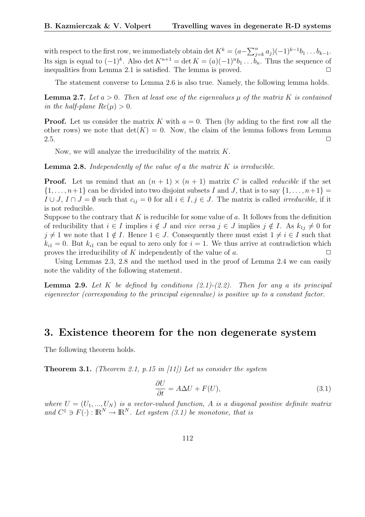with respect to the first row, we immediately obtain det  $K^k = (a - \sum_{i=1}^n a_i)^k$  $_{j=k}^{n} a_j) (-1)^{k-1} b_1 \ldots b_{k-1}.$ Its sign is equal to  $(-1)^k$ . Also det  $K^{n+1} = \det K = (a)(-1)^n b_1 \dots b_n$ . Thus the sequence of inequalities from Lemma 2.1 is satisfied. The lemma is proved.  $\Box$ 

The statement converse to Lemma 2.6 is also true. Namely, the following lemma holds.

**Lemma 2.7.** Let  $a > 0$ . Then at least one of the eigenvalues  $\mu$  of the matrix K is contained in the half-plane  $Re(\mu) > 0$ .

**Proof.** Let us consider the matrix K with  $a = 0$ . Then (by adding to the first row all the other rows) we note that  $\det(K) = 0$ . Now, the claim of the lemma follows from Lemma 2.5.  $\Box$ 

Now, we will analyze the irreducibility of the matrix  $K$ .

**Lemma 2.8.** Independently of the value of a the matrix  $K$  is irreducible.

**Proof.** Let us remind that an  $(n + 1) \times (n + 1)$  matrix C is called *reducible* if the set  $\{1,\ldots,n+1\}$  can be divided into two disjoint subsets I and J, that is to say  $\{1,\ldots,n+1\}$  $I \cup J$ ,  $I \cap J = \emptyset$  such that  $c_{ij} = 0$  for all  $i \in I, j \in J$ . The matrix is called *irreducible*, if it is not reducible.

Suppose to the contrary that  $K$  is reducible for some value of  $a$ . It follows from the definition of reducibility that  $i \in I$  implies  $i \notin J$  and vice versa  $j \in J$  implies  $j \notin I$ . As  $k_{1j} \neq 0$  for  $j \neq 1$  we note that  $1 \notin I$ . Hence  $1 \in J$ . Consequently there must exist  $1 \neq i \in I$  such that  $k_{i1} = 0$ . But  $k_{i1}$  can be equal to zero only for  $i = 1$ . We thus arrive at contradiction which proves the irreducibility of K independently of the value of a.  $\Box$ 

Using Lemmas 2.3, 2.8 and the method used in the proof of Lemma 2.4 we can easily note the validity of the following statement.

**Lemma 2.9.** Let K be defined by conditions  $(2.1)-(2.2)$ . Then for any a its principal eigenvector (corresponding to the principal eigenvalue) is positive up to a constant factor.

#### 3. Existence theorem for the non degenerate system

The following theorem holds.

**Theorem 3.1.** (Theorem 2.1, p.15 in [11]) Let us consider the system

$$
\frac{\partial U}{\partial t} = A\Delta U + F(U),\tag{3.1}
$$

where  $U = (U_1, ..., U_N)$  is a vector-valued function, A is a diagonal positive definite matrix and  $C^1 \ni F(\cdot) : \mathbb{R}^N \to \mathbb{R}^N$ . Let system (3.1) be monotone, that is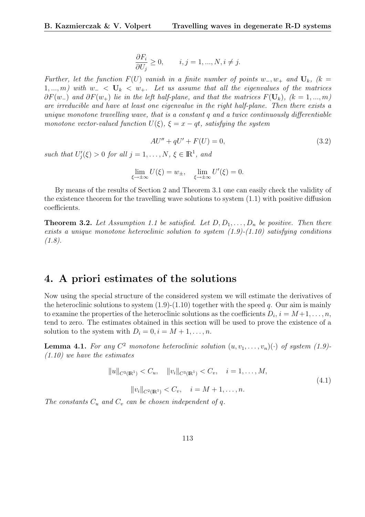$$
\frac{\partial F_i}{\partial U_j} \ge 0, \qquad i, j = 1, ..., N, i \ne j.
$$

Further, let the function  $F(U)$  vanish in a finite number of points w<sub>-</sub>, w<sub>+</sub> and  $U_k$ , (k = 1, ..., m) with  $w_- < U_k < w_+$ . Let us assume that all the eigenvalues of the matrices  $\partial F(w_+)$  and  $\partial F(w_+)$  lie in the left half-plane, and that the matrices  $F(\mathbf{U}_k)$ ,  $(k = 1, ..., m)$ are irreducible and have at least one eigenvalue in the right half-plane. Then there exists a unique monotone travelling wave, that is a constant  $q$  and a twice continuously differentiable monotone vector-valued function  $U(\xi)$ ,  $\xi = x - qt$ , satisfying the system

$$
AU'' + qU' + F(U) = 0,\t\t(3.2)
$$

such that  $U_j'(\xi) > 0$  for all  $j = 1, ..., N$ ,  $\xi \in \mathbb{R}^1$ , and

$$
\lim_{\xi \to \pm \infty} U(\xi) = w_{\pm}, \quad \lim_{\xi \to \pm \infty} U'(\xi) = 0.
$$

By means of the results of Section 2 and Theorem 3.1 one can easily check the validity of the existence theorem for the travelling wave solutions to system (1.1) with positive diffusion coefficients.

**Theorem 3.2.** Let Assumption 1.1 be satisfied. Let  $D, D_1, \ldots, D_n$  be positive. Then there exists a unique monotone heteroclinic solution to system  $(1.9)-(1.10)$  satisfying conditions  $(1.8).$ 

#### 4. A priori estimates of the solutions

Now using the special structure of the considered system we will estimate the derivatives of the heteroclinic solutions to system  $(1.9)-(1.10)$  together with the speed q. Our aim is mainly to examine the properties of the heteroclinic solutions as the coefficients  $D_i$ ,  $i = M+1, \ldots, n$ , tend to zero. The estimates obtained in this section will be used to prove the existence of a solution to the system with  $D_i = 0, i = M + 1, \ldots, n$ .

**Lemma 4.1.** For any  $C^2$  monotone heteroclinic solution  $(u, v_1, \ldots, v_n)(\cdot)$  of system (1.9)- $(1.10)$  we have the estimates

$$
||u||_{C^{3}(\mathbb{R}^{1})} < C_{u}, \quad ||v_{i}||_{C^{3}(\mathbb{R}^{1})} < C_{v}, \quad i = 1, ..., M,
$$
  

$$
||v_{i}||_{C^{2}(\mathbb{R}^{1})} < C_{v}, \quad i = M + 1, ..., n.
$$
 (4.1)

The constants  $C_u$  and  $C_v$  can be chosen independent of q.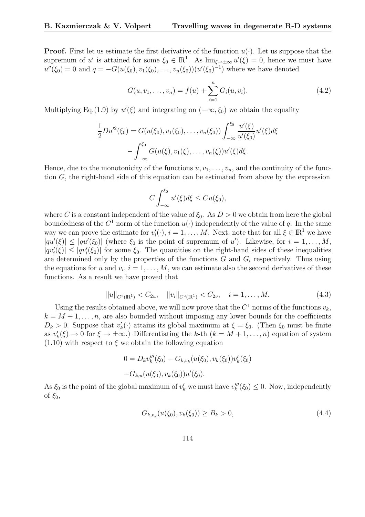**Proof.** First let us estimate the first derivative of the function  $u(\cdot)$ . Let us suppose that the supremum of u' is attained for some  $\xi_0 \in \mathbb{R}^1$ . As  $\lim_{\xi \to \pm \infty} u'(\xi) = 0$ , hence we must have  $u''(\xi_0) = 0$  and  $q = -G(u(\xi_0), v_1(\xi_0), \dots, v_n(\xi_0))(u'(\xi_0)^{-1})$  where we have denoted

$$
G(u, v_1, \dots, v_n) = f(u) + \sum_{i=1}^n G_i(u, v_i).
$$
 (4.2)

Multiplying Eq.(1.9) by  $u'(\xi)$  and integrating on  $(-\infty, \xi_0)$  we obtain the equality

$$
\frac{1}{2}Du'^2(\xi_0) = G(u(\xi_0), v_1(\xi_0), \dots, v_n(\xi_0)) \int_{-\infty}^{\xi_0} \frac{u'(\xi)}{u'(\xi_0)} u'(\xi) d\xi \n- \int_{-\infty}^{\xi_0} G(u(\xi), v_1(\xi), \dots, v_n(\xi)) u'(\xi) d\xi.
$$

Hence, due to the monotonicity of the functions  $u, v_1, \ldots, v_n$ , and the continuity of the function G, the right-hand side of this equation can be estimated from above by the expression

$$
C\int_{-\infty}^{\xi_0} u'(\xi)d\xi \leq Cu(\xi_0),
$$

where C is a constant independent of the value of  $\xi_0$ . As  $D > 0$  we obtain from here the global boundedness of the  $C^1$  norm of the function  $u(\cdot)$  independently of the value of q. In the same way we can prove the estimate for  $v_i'(\cdot), i = 1, \ldots, M$ . Next, note that for all  $\xi \in \mathbb{R}^1$  we have  $|qu'(\xi)| \leq |qu'(\xi_0)|$  (where  $\xi_0$  is the point of supremum of u'). Likewise, for  $i = 1, ..., M$ ,  $|qv'_i(\xi)| \leq |qv'_i(\xi_0)|$  for some  $\xi_0$ . The quantities on the right-hand sides of these inequalities are determined only by the properties of the functions  $G$  and  $G_i$  respectively. Thus using the equations for u and  $v_i$ ,  $i = 1, \ldots, M$ , we can estimate also the second derivatives of these functions. As a result we have proved that

$$
||u||_{C^{2}(\mathbb{R}^{1})} < C_{2u}, \quad ||v_{i}||_{C^{2}(\mathbb{R}^{1})} < C_{2v}, \quad i = 1, ..., M.
$$
 (4.3)

Using the results obtained above, we will now prove that the  $C<sup>1</sup>$  norms of the functions  $v<sub>k</sub>$ ,  $k = M + 1, \ldots, n$ , are also bounded without imposing any lower bounds for the coefficients  $D_k > 0$ . Suppose that  $v'_k(\cdot)$  attains its global maximum at  $\xi = \xi_0$ . (Then  $\xi_0$  must be finite as  $v'_k(\xi) \to 0$  for  $\xi \to \pm \infty$ .) Differentiating the k-th  $(k = M + 1, \ldots, n)$  equation of system  $(1.10)$  with respect to  $\xi$  we obtain the following equation

$$
0 = D_k v_k'''(\xi_0) - G_{k,v_k}(u(\xi_0), v_k(\xi_0))v'_k(\xi_0)
$$

$$
-G_{k,u}(u(\xi_0), v_k(\xi_0))u'(\xi_0).
$$

As  $\xi_0$  is the point of the global maximum of  $v'_k$  we must have  $v'''_k(\xi_0) \leq 0$ . Now, independently of  $\xi_0$ ,

$$
G_{k,v_k}(u(\xi_0), v_k(\xi_0)) \ge B_k > 0,
$$
\n(4.4)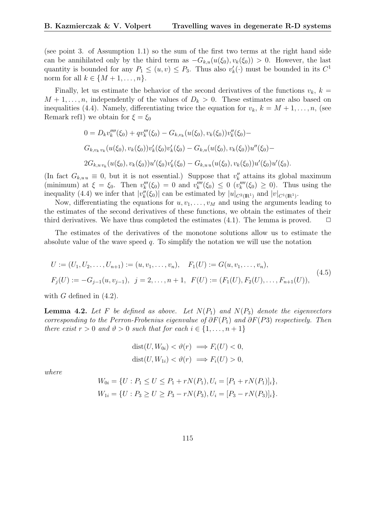(see point 3. of Assumption 1.1) so the sum of the first two terms at the right hand side can be annihilated only by the third term as  $-G_{k,u}(u(\xi_0), v_k(\xi_0)) > 0$ . However, the last quantity is bounded for any  $P_1 \leq (u, v) \leq P_3$ . Thus also  $v'_k(\cdot)$  must be bounded in its  $C^1$ norm for all  $k \in \{M+1,\ldots,n\}$ .

Finally, let us estimate the behavior of the second derivatives of the functions  $v_k$ ,  $k =$  $M + 1, \ldots, n$ , independently of the values of  $D_k > 0$ . These estimates are also based on inequalities (4.4). Namely, differentiating twice the equation for  $v_k$ ,  $k = M + 1, \ldots, n$ , (see Remark ref1) we obtain for  $\xi = \xi_0$ 

$$
0 = D_k v_k'''(\xi_0) + q v_k'''(\xi_0) - G_{k,v_k}(u(\xi_0), v_k(\xi_0))v_k''(\xi_0) -
$$
  
\n
$$
G_{k,v_k v_k}(u(\xi_0), v_k(\xi_0))v_k'(\xi_0)v_k'(\xi_0) - G_{k,u}(u(\xi_0), v_k(\xi_0))u''(\xi_0) -
$$
  
\n
$$
2G_{k,u v_k}(u(\xi_0), v_k(\xi_0))u'(\xi_0)v_k'(\xi_0) - G_{k,u u}(u(\xi_0), v_k(\xi_0))u'(\xi_0)u'(\xi_0).
$$

(In fact  $G_{k,u} \equiv 0$ , but it is not essential.) Suppose that  $v''_k$  attains its global maximum (minimum) at  $\xi = \xi_0$ . Then  $v_k'''(\xi_0) = 0$  and  $v_k''''(\xi_0) \leq 0$   $(v_k''''(\xi_0) \geq 0)$ . Thus using the inequality (4.4) we infer that  $|v''_k(\xi_0)|$  can be estimated by  $|u|_{C^2(\mathbb{R}^1)}$  and  $|v|_{C^1(\mathbb{R}^1)}$ .

Now, differentiating the equations for  $u, v_1, \ldots, v_M$  and using the arguments leading to the estimates of the second derivatives of these functions, we obtain the estimates of their third derivatives. We have thus completed the estimates  $(4.1)$ . The lemma is proved.  $\Box$ 

The estimates of the derivatives of the monotone solutions allow us to estimate the absolute value of the wave speed  $q$ . To simplify the notation we will use the notation

$$
U := (U_1, U_2, \dots, U_{n+1}) := (u, v_1, \dots, v_n), \quad F_1(U) := G(u, v_1, \dots, v_n),
$$
  
\n
$$
F_j(U) := -G_{j-1}(u, v_{j-1}), \quad j = 2, \dots, n+1, \quad F(U) := (F_1(U), F_2(U), \dots, F_{n+1}(U)),
$$
\n
$$
(4.5)
$$

with  $G$  defined in  $(4.2)$ .

**Lemma 4.2.** Let F be defined as above. Let  $N(P_1)$  and  $N(P_3)$  denote the eigenvectors corresponding to the Perron-Frobenius eigenvalue of  $\partial F(P_1)$  and  $\partial F(P_3)$  respectively. Then there exist  $r > 0$  and  $\vartheta > 0$  such that for each  $i \in \{1, \ldots, n+1\}$ 

$$
dist(U, W_{0i}) < \vartheta(r) \implies F_i(U) < 0,
$$
\n
$$
dist(U, W_{1i}) < \vartheta(r) \implies F_i(U) > 0,
$$

where

$$
W_{0i} = \{ U : P_1 \le U \le P_1 + rN(P_1), U_i = [P_1 + rN(P_1)]_i \},
$$
  
\n
$$
W_{1i} = \{ U : P_3 \ge U \ge P_3 - rN(P_3), U_i = [P_3 - rN(P_3)]_i \}.
$$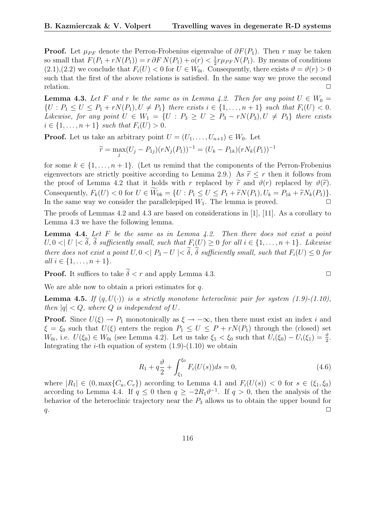**Proof.** Let  $\mu_{PF}$  denote the Perron-Frobenius eigenvalue of  $\partial F(P_1)$ . Then r may be taken so small that  $F(P_1 + rN(P_1)) = r \partial F N(P_1) + o(r) < \frac{1}{2}$  $\frac{1}{2}r\mu_{PF}N(P_1)$ . By means of conditions  $(2.1),(2.2)$  we conclude that  $F_i(U) < 0$  for  $U \in W_{0i}$ . Consequently, there exists  $\vartheta = \vartheta(r) > 0$ such that the first of the above relations is satisfied. In the same way we prove the second relation.  $\Box$ 

**Lemma 4.3.** Let F and r be the same as in Lemma 4.2. Then for any point  $U \in W_0 =$  $\{U : P_1 \leq U \leq P_1 + rN(P_1), U \neq P_1\}$  there exists  $i \in \{1, ..., n+1\}$  such that  $F_i(U) < 0$ . Likewise, for any point  $U \in W_1 = \{U : P_3 \geq U \geq P_3 - rN(P_3), U \neq P_3\}$  there exists  $i \in \{1, ..., n+1\}$  such that  $F_i(U) > 0$ .

**Proof.** Let us take an arbitrary point  $U = (U_1, \ldots, U_{n+1}) \in W_0$ . Let

$$
\widetilde{r} = \max_{j} (U_j - P_{1j})(rN_j(P_1))^{-1} = (U_k - P_{1k})(rN_k(P_1))^{-1}
$$

for some  $k \in \{1, \ldots, n+1\}$ . (Let us remind that the components of the Perron-Frobenius eigenvectors are strictly positive according to Lemma 2.9.) As  $\tilde{r} \leq r$  then it follows from the proof of Lemma 4.2 that it holds with r replaced by  $\tilde{r}$  and  $\vartheta(r)$  replaced by  $\vartheta(\tilde{r})$ . Consequently,  $F_k(U) < 0$  for  $U \in \widetilde{W}_{0k} = \{U : P_1 \leq U \leq P_1 + \widetilde{r}N(P_1), U_k = P_{1k} + \widetilde{r}N_k(P_1)\}.$ In the same way we consider the parallelepiped  $W_1$ . The lemma is proved.  $\Box$ 

The proofs of Lemmas 4.2 and 4.3 are based on considerations in [1], [11]. As a corollary to Lemma 4.3 we have the following lemma.

**Lemma 4.4.** Let  $F$  be the same as in Lemma 4.2. Then there does not exist a point  $U, 0 < | U | < \delta$ ,  $\delta$  sufficiently small, such that  $F_i(U) \geq 0$  for all  $i \in \{1, \ldots, n+1\}$ . Likewise there does not exist a point  $U, 0 < |P_3 - U| < \tilde{\delta}, \tilde{\delta}$  sufficiently small, such that  $F_i(U) \leq 0$  for *all*  $i \in \{1, ..., n+1\}$ .

**Proof.** It suffices to take  $\tilde{\delta} < r$  and apply Lemma 4.3.

We are able now to obtain a priori estimates for q.

**Lemma 4.5.** If  $(q, U(\cdot))$  is a strictly monotone heteroclinic pair for system (1.9)-(1.10), then  $|q| < Q$ , where Q is independent of U.

**Proof.** Since  $U(\xi) \to P_1$  monotonically as  $\xi \to -\infty$ , then there must exist an index i and  $\xi = \xi_0$  such that  $U(\xi)$  enters the region  $P_1 \leq U \leq P + rN(P_1)$  through the (closed) set  $W_{0i}$ , i.e.  $U(\xi_0) \in W_{0i}$  (see Lemma 4.2). Let us take  $\xi_1 < \xi_0$  such that  $U_i(\xi_0) - U_i(\xi_1) = \frac{\vartheta}{2}$ . Integrating the *i*-th equation of system  $(1.9)-(1.10)$  we obtain

$$
R_1 + q\frac{\vartheta}{2} + \int_{\xi_1}^{\xi_0} F_i(U(s))ds = 0,
$$
\n(4.6)

where  $|R_1| \in (0, \max\{C_u, C_v\})$  according to Lemma 4.1 and  $F_i(U(s)) < 0$  for  $s \in (\xi_1, \xi_0)$ according to Lemma 4.4. If  $q \leq 0$  then  $q \geq -2R_1\theta^{-1}$ . If  $q > 0$ , then the analysis of the behavior of the heteroclinic trajectory near the  $P_3$  allows us to obtain the upper bound for  $q$ .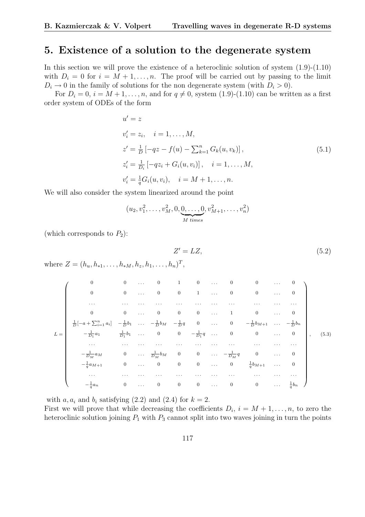#### 5. Existence of a solution to the degenerate system

In this section we will prove the existence of a heteroclinic solution of system  $(1.9)-(1.10)$ with  $D_i = 0$  for  $i = M + 1, \ldots, n$ . The proof will be carried out by passing to the limit  $D_i \rightarrow 0$  in the family of solutions for the non degenerate system (with  $D_i > 0$ ).

For  $D_i = 0$ ,  $i = M + 1, \ldots, n$ , and for  $q \neq 0$ , system  $(1.9)-(1.10)$  can be written as a first order system of ODEs of the form

$$
u' = z
$$
  
\n
$$
v'_{i} = z_{i}, \quad i = 1, ..., M,
$$
  
\n
$$
z' = \frac{1}{D} \left[ -qz - f(u) - \sum_{k=1}^{n} G_{k}(u, v_{k}) \right],
$$
  
\n
$$
z'_{i} = \frac{1}{D_{i}} \left[ -qz_{i} + G_{i}(u, v_{i}) \right], \quad i = 1, ..., M,
$$
  
\n
$$
v'_{i} = \frac{1}{q} G_{i}(u, v_{i}), \quad i = M + 1, ..., n.
$$
\n(5.1)

We will also consider the system linearized around the point

$$
(u_2, v_1^2, \ldots, v_M^2, 0, \underbrace{0, \ldots, 0}_{M \text{ times}}, v_{M+1}^2, \ldots, v_n^2)
$$

(which corresponds to  $P_2$ ):

$$
Z' = LZ,\tag{5.2}
$$

where  $Z = (h_u, h_{*1}, \dots, h_{*M}, h_z, h_1, \dots, h_n)^T$ ,

|       | $\boldsymbol{0}$                                                                     | $\boldsymbol{0}$ | $\sim 100$  | $\mathbf{0}$               | $\mathbf{1}$            | $\overline{0}$                 | $\ldots$         | $\overline{\phantom{0}}$   | $\mathbf{0}$                            | $\sim$ $\sim$ $\sim$ | 0                |                          |       |
|-------|--------------------------------------------------------------------------------------|------------------|-------------|----------------------------|-------------------------|--------------------------------|------------------|----------------------------|-----------------------------------------|----------------------|------------------|--------------------------|-------|
|       | $\boldsymbol{0}$                                                                     | $\mathbf{0}$     | $\ddots$    | $\mathbf{0}$               | $\overline{0}$          | $\mathbf{1}$                   | $\ddots$         | $\overline{0}$             | $\mathbf{0}$                            | $\ldots$             | $\overline{0}$   |                          |       |
|       | $\cdots$                                                                             | $\cdots$         |             | $\cdots$                   |                         | $\cdots$                       | .                | .                          | .                                       | $\cdots$             | $\cdots$         |                          |       |
|       | $\boldsymbol{0}$                                                                     | $\mathbf{0}$     | $\ldots$    | $\mathbf{0}$               | $\overline{0}$          | $\overline{0}$                 | $\ldots$         | $\mathbf{1}$               | $\overline{0}$                          | $\ldots$             | $\boldsymbol{0}$ |                          |       |
|       | $\frac{1}{D}[-a+\sum_{i=1}^n a_i] - \frac{1}{D}b_1$ $-\frac{1}{D}b_M - \frac{1}{D}q$ |                  |             |                            |                         | $\overline{\mathbf{0}}$        | $\sim$ 10 $\sim$ | $\overline{0}$             | $-\frac{1}{D}b_{M+1}$ $-\frac{1}{D}b_n$ |                      |                  |                          |       |
| $L =$ | $-\frac{1}{D_1}a_1$                                                                  | $rac{1}{D_1}b_1$ | $\sim 1000$ | $\overline{0}$             | $\overline{\mathbf{0}}$ | $-\frac{1}{D_1}q \quad \ldots$ |                  | $\overline{\phantom{0}}$   | $\overline{0}$                          | $\sim$ $\sim$        | $\boldsymbol{0}$ | $\overline{\phantom{a}}$ | (5.3) |
|       | $\cdots$                                                                             | $\cdots$         |             |                            | .                       |                                |                  |                            | .                                       | $\cdots$             | $\cdots$         |                          |       |
|       | $-\frac{1}{D_M}a_M$                                                                  | $\boldsymbol{0}$ |             | $\cdots \frac{1}{D_M} b_M$ | $\overline{\mathbf{0}}$ | $\boldsymbol{0}$               |                  | $\cdots$ $-\frac{1}{D_M}q$ | $\boldsymbol{0}$                        | $\sim$ $\sim$ $\sim$ | $\boldsymbol{0}$ |                          |       |
|       | $-\frac{1}{q}a_{M+1}$                                                                | $\boldsymbol{0}$ | $\ldots$    | $\bf{0}$                   | $\boldsymbol{0}$        | $\overline{0}$                 | $\ldots$         | $\overline{0}$             | $rac{1}{q}b_{M+1}$                      | $\ldots$ .           | $\boldsymbol{0}$ |                          |       |
|       | $\cdots$                                                                             | $\cdots$         | $\cdots$    | .                          | .                       |                                | .                | .                          | .                                       | $\cdots$             | .                |                          |       |
|       | $-\frac{1}{a}a_n$                                                                    | $\mathbf{0}$     | $\ldots$    | $\mathbf{0}$               | $\overline{0}$          | $\overline{0}$                 | $\ldots$         | $\overline{0}$             | $\mathbf{0}$                            | $\sim$ $\sim$ $\sim$ | $rac{1}{a}b_n$   |                          |       |

with  $a, a_i$  and  $b_i$  satisfying (2.2) and (2.4) for  $k = 2$ .

First we will prove that while decreasing the coefficients  $D_i$ ,  $i = M + 1, \ldots, n$ , to zero the heteroclinic solution joining  $P_1$  with  $P_3$  cannot split into two waves joining in turn the points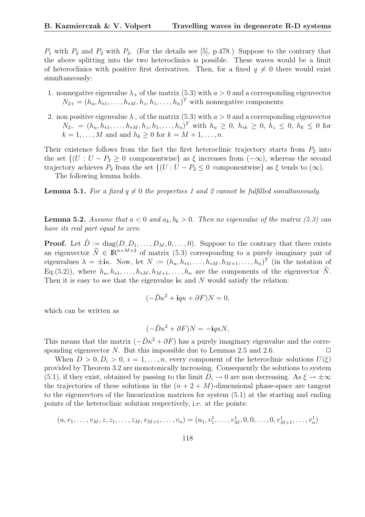$P_1$  with  $P_2$  and  $P_2$  with  $P_3$ . (For the details see [5], p.478.) Suppose to the contrary that the above splitting into the two heteroclinics is possible. These waves would be a limit of heteroclinics with positive first derivatives. Then, for a fixed  $q \neq 0$  there would exist simultaneously:

- 1. nonnegative eigenvalue  $\lambda_+$  of the matrix (5.3) with  $a > 0$  and a corresponding eigenvector  $N_{2+} = (h_u, h_{*1}, \ldots, h_{*M}, h_z, h_1, \ldots, h_n)^T$  with nonnegative components
- 2. non positive eigenvalue  $\lambda$  of the matrix (5.3) with  $a > 0$  and a corresponding eigenvector  $N_{2-} = (h_u, h_{*1}, \ldots, h_{*M}, h_z, h_1, \ldots, h_n)^T$  with  $h_u \geq 0$ ,  $h_{*k} \geq 0$ ,  $h_z \leq 0$ ,  $h_k \leq 0$  for  $k = 1, \ldots, M$  and and  $h_k \geq 0$  for  $k = M + 1, \ldots, n$ .

Their existence follows from the fact the first heteroclinic trajectory starts from  $P_2$  into the set  $\{(U : U - P_2 \geq 0 \text{ componentwise}\}\)$  as  $\xi$  increases from  $(-\infty)$ , whereas the second trajectory achieves  $P_2$  from the set  $\{(U : U - P_2 \leq 0 \text{ componentwise}\}\)$  as  $\xi$  tends to  $(\infty)$ .

The following lemma holds.

**Lemma 5.1.** For a fixed  $q \neq 0$  the properties 1 and 2 cannot be fulfilled simultaneously.

**Lemma 5.2.** Assume that  $a < 0$  and  $a_k, b_k > 0$ . Then no eigenvalue of the matrix (5.3) can have its real part equal to zero.

**Proof.** Let  $\hat{D} := \text{diag}(D, D_1, \dots, D_M, 0, \dots, 0)$ . Suppose to the contrary that there exists an eigenvector  $\widetilde{N} \in \mathbb{R}^{n+M+2}$  of matrix (5.3) corresponding to a purely imaginary pair of eigenvalues  $\lambda = \pm i\kappa$ . Now, let  $N := (h_u, h_{*1}, \ldots, h_{*M}, h_{M+1}, \ldots, h_n)^T$  (in the notation of Eq.(5.2)), where  $h_u, h_{*1}, \ldots, h_{*M}, h_{M+1}, \ldots, h_n$  are the components of the eigenvector  $\widetilde{N}$ . Then it is easy to see that the eigenvalue ik and N would satisfy the relation:

$$
(-\hat{D}\kappa^2 + i q \kappa + \partial F)N = 0,
$$

which can be written as

$$
(-\hat{D}\kappa^2 + \partial F)N = -\mathbf{i}q\kappa N,
$$

This means that the matrix  $(-\hat{D}\kappa^2 + \partial F)$  has a purely imaginary eigenvalue and the corresponding eigenvector N. But this impossible due to Lemmas 2.5 and 2.6.  $\Box$ 

When  $D > 0, D_i > 0, i = 1, \ldots, n$ , every component of the heteroclinic solutions  $U(\xi)$ provided by Theorem 3.2 are monotonically increasing. Consequently the solutions to system (5.1), if they exist, obtained by passing to the limit  $D_i \to 0$  are non decreasing. As  $\xi \to \pm \infty$ the trajectories of these solutions in the  $(n+2+M)$ -dimensional phase-space are tangent to the eigenvectors of the linearization matrices for system (5.1) at the starting and ending points of the heteroclinic solution respectively, i.e. at the points:

$$
(u, v_1, \ldots, v_M, z, z_1, \ldots, z_M, v_{M+1}, \ldots, v_n) = (u_1, v_1^1, \ldots, v_M^1, 0, 0, \ldots, 0, v_{M+1}^1, \ldots, v_n^1)
$$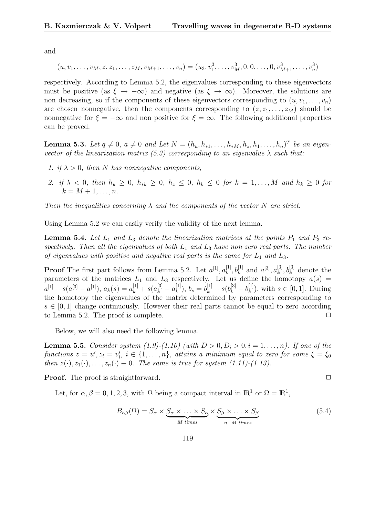and

$$
(u, v_1, \ldots, v_M, z, z_1, \ldots, z_M, v_{M+1}, \ldots, v_n) = (u_3, v_1^3, \ldots, v_M^3, 0, 0, \ldots, 0, v_{M+1}^3, \ldots, v_n^3)
$$

respectively. According to Lemma 5.2, the eigenvalues corresponding to these eigenvectors must be positive (as  $\xi \to -\infty$ ) and negative (as  $\xi \to \infty$ ). Moreover, the solutions are non decreasing, so if the components of these eigenvectors corresponding to  $(u, v_1, \ldots, v_n)$ are chosen nonnegative, then the components corresponding to  $(z, z_1, \ldots, z_M)$  should be nonnegative for  $\xi = -\infty$  and non positive for  $\xi = \infty$ . The following additional properties can be proved.

**Lemma 5.3.** Let  $q \neq 0$ ,  $a \neq 0$  and Let  $N = (h_u, h_{*1}, \ldots, h_{*M}, h_z, h_1, \ldots, h_n)^T$  be an eigenvector of the linearization matrix (5.3) corresponding to an eigenvalue  $\lambda$  such that:

- 1. if  $\lambda > 0$ , then N has nonnegative components,
- 2. if  $\lambda < 0$ , then  $h_u \geq 0$ ,  $h_{*k} \geq 0$ ,  $h_z \leq 0$ ,  $h_k \leq 0$  for  $k = 1, \ldots, M$  and  $h_k > 0$  for  $k = M + 1, \ldots, n$ .

Then the inequalities concerning  $\lambda$  and the components of the vector N are strict.

Using Lemma 5.2 we can easily verify the validity of the next lemma.

**Lemma 5.4.** Let  $L_1$  and  $L_3$  denote the linearization matrices at the points  $P_1$  and  $P_3$  respectively. Then all the eigenvalues of both  $L_1$  and  $L_3$  have non zero real parts. The number of eigenvalues with positive and negative real parts is the same for  $L_1$  and  $L_3$ .

**Proof** The first part follows from Lemma 5.2. Let  $a^{[1]}, a^{[1]}_k$  $a_k^{[1]}, b_k^{[1]}$  and  $a^{[3]}, a_k^{[3]}$  $k^{[3]}$ ,  $b_k^{[3]}$  denote the parameters of the matrices  $L_1$  and  $L_3$  respectively. Let us define the homotopy  $a(s)$  =  $a^{[1]} + s(a^{[3]} - a^{[1]}), a_k(s) = a^{[1]}_k + s(a^{[3]}_k - a^{[1]}_k)$  $\binom{[1]}{k},\ b_s=b_k^{[1]}+s(b_k^{[3]}-b_k^{[1]}$  $\binom{[1]}{k}$ , with  $s \in [0, 1]$ . During the homotopy the eigenvalues of the matrix determined by parameters corresponding to  $s \in [0, 1]$  change continuously. However their real parts cannot be equal to zero according to Lemma 5.2. The proof is complete.  $\Box$ 

Below, we will also need the following lemma.

**Lemma 5.5.** Consider system (1.9)-(1.10) (with  $D > 0, D_i > 0, i = 1, \ldots, n$ ). If one of the functions  $z = u', z_i = v'_i, i \in \{1, ..., n\}$ , attains a minimum equal to zero for some  $\xi = \xi_0$ then  $z(\cdot), z_1(\cdot), \ldots, z_n(\cdot) \equiv 0$ . The same is true for system (1.11)-(1.13).

**Proof.** The proof is straightforward. ◯

Let, for  $\alpha, \beta = 0, 1, 2, 3$ , with  $\Omega$  being a compact interval in  $\mathbb{R}^1$  or  $\Omega = \mathbb{R}^1$ ,

$$
B_{\alpha\beta}(\Omega) = S_{\alpha} \times \underbrace{S_{\alpha} \times \ldots \times S_{\alpha}}_{M \text{ times}} \times \underbrace{S_{\beta} \times \ldots \times S_{\beta}}_{n-M \text{ times}}
$$
(5.4)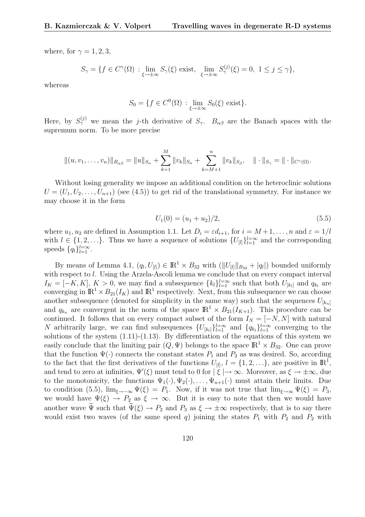where, for  $\gamma = 1, 2, 3$ ,

$$
S_{\gamma} = \{ f \in C^{\gamma}(\Omega) : \lim_{\xi \to \pm \infty} S_{\gamma}(\xi) \text{ exist}, \lim_{\xi \to \pm \infty} S_{\gamma}^{(j)}(\xi) = 0, 1 \le j \le \gamma \},
$$

whereas

$$
S_0 = \{ f \in C^0(\Omega) : \lim_{\xi \to \pm \infty} S_0(\xi) \text{ exist} \}.
$$

Here, by  $S_{\gamma}^{(j)}$  we mean the j-th derivative of  $S_{\gamma}$ .  $B_{\alpha\beta}$  are the Banach spaces with the supremum norm. To be more precise

$$
||(u, v_1, \ldots, v_n)||_{B_{\alpha\beta}} = ||u||_{S_{\alpha}} + \sum_{k=1}^M ||v_k||_{S_{\alpha}} + \sum_{k=M+1}^n ||v_k||_{S_{\beta}}, \quad ||\cdot||_{S_{\gamma}} = ||\cdot||_{C^{\gamma}(\Omega)}.
$$

Without losing generality we impose an additional condition on the heteroclinic solutions  $U = (U_1, U_2, \ldots, U_{n+1})$  (see (4.5)) to get rid of the translational symmetry. For instance we may choose it in the form

$$
U_1(0) = (u_1 + u_2)/2, \tag{5.5}
$$

where  $u_1, u_2$  are defined in Assumption 1.1. Let  $D_i = \varepsilon d_{i+1}$ , for  $i = M+1, \ldots, n$  and  $\varepsilon = 1/l$ with  $l \in \{1, 2, \ldots\}$ . Thus we have a sequence of solutions  $\{U_{[l]}\}_{l=1}^{l=\infty}$  and the corresponding speeds  $\{q_l\}_{l=1}^{l=\infty}$ .

By means of Lemma 4.1,  $(q_l, U_{[l]}) \in \mathbb{R}^1 \times B_{32}$  with  $(||U_{[l]}||_{B_{32}} + |q_l|)$  bounded uniformly with respect to *l*. Using the Arzela-Ascoli lemma we conclude that on every compact interval  $I_K = [-K, K], K > 0$ , we may find a subsequence  $\{k_l\}_{l=1}^{l=\infty}$  such that both  $U_{[k_l]}$  and  $q_{k_l}$  are converging in  $\mathbb{R}^1 \times B_{21}(I_K)$  and  $\mathbb{R}^1$  respectively. Next, from this subsequence we can choose another subsequence (denoted for simplicity in the same way) such that the sequences  $U_{[k_n]}$ and  $q_{k_n}$  are convergent in the norm of the space  $\mathbb{R}^1 \times B_{21}(I_{K+1})$ . This procedure can be continued. It follows that on every compact subset of the form  $I_N = [-N, N]$  with natural N arbitrarily large, we can find subsequences  $\{U_{[k_l]}\}_{l=1}^{l=\infty}$  and  $\{q_{k_l}\}_{l=1}^{l=\infty}$  converging to the solutions of the system  $(1.11)-(1.13)$ . By differentiation of the equations of this system we easily conclude that the limiting pair  $(Q, \Psi)$  belongs to the space  $\mathbb{R}^1 \times B_{32}$ . One can prove that the function  $\Psi(\cdot)$  connects the constant states  $P_1$  and  $P_3$  as was desired. So, according to the fact that the first derivatives of the functions  $U_{[l]}, l = \{1, 2, \ldots\}$ , are positive in  $\mathbb{R}^1$ , and tend to zero at infinities,  $\Psi'(\xi)$  must tend to 0 for  $|\xi| \to \infty$ . Moreover, as  $\xi \to \pm \infty$ , due to the monotonicity, the functions  $\Psi_1(\cdot), \Psi_2(\cdot), \ldots, \Psi_{n+1}(\cdot)$  must attain their limits. Due to condition (5.5),  $\lim_{\xi \to -\infty} \Psi(\xi) = P_1$ . Now, if it was not true that  $\lim_{\xi \to \infty} \Psi(\xi) = P_3$ , we would have  $\Psi(\xi) \to P_2$  as  $\xi \to \infty$ . But it is easy to note that then we would have another wave  $\Psi$  such that  $\Psi(\xi) \to P_2$  and  $P_3$  as  $\xi \to \pm \infty$  respectively, that is to say there would exist two waves (of the same speed q) joining the states  $P_1$  with  $P_2$  and  $P_2$  with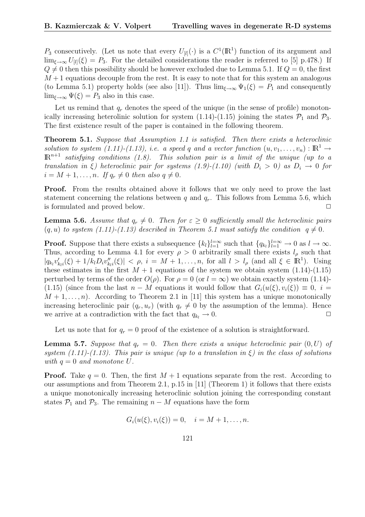$P_3$  consecutively. (Let us note that every  $U_{[l]}(\cdot)$  is a  $C^1(\mathbb{R}^1)$  function of its argument and  $\lim_{\xi\to\infty}U_{[l]}(\xi) = P_3$ . For the detailed considerations the reader is referred to [5] p.478.) If  $Q \neq 0$  then this possibility should be however excluded due to Lemma 5.1. If  $Q = 0$ , the first  $M+1$  equations decouple from the rest. It is easy to note that for this system an analogous (to Lemma 5.1) property holds (see also [11]). Thus  $\lim_{\xi\to\infty} \Psi_1(\xi) = P_1$  and consequently  $\lim_{\xi \to \infty} \Psi(\xi) = P_3$  also in this case.

Let us remind that  $q_r$  denotes the speed of the unique (in the sense of profile) monotonically increasing heterolinic solution for system (1.14)-(1.15) joining the states  $\mathcal{P}_1$  and  $\mathcal{P}_3$ . The first existence result of the paper is contained in the following theorem.

Theorem 5.1. Suppose that Assumption 1.1 is satisfied. Then there exists a heteroclinic solution to system (1.11)-(1.13), i.e. a speed q and a vector function  $(u, v_1, \ldots, v_n): \mathbb{R}^1 \to$  $\mathbb{R}^{n+1}$  satisfying conditions (1.8). This solution pair is a limit of the unique (up to a translation in ξ) heteroclinic pair for systems (1.9)-(1.10) (with  $D_i > 0$ ) as  $D_i \rightarrow 0$  for  $i = M + 1, \ldots, n$ . If  $q_r \neq 0$  then also  $q \neq 0$ .

**Proof.** From the results obtained above it follows that we only need to prove the last statement concerning the relations between q and  $q_r$ . This follows from Lemma 5.6, which is formulated and proved below.  $\Box$ 

**Lemma 5.6.** Assume that  $q_r \neq 0$ . Then for  $\varepsilon \geq 0$  sufficiently small the heteroclinic pairs  $(q, u)$  to system (1.11)-(1.13) described in Theorem 5.1 must satisfy the condition  $q \neq 0$ .

**Proof.** Suppose that there exists a subsequence  $\{k_l\}_{l=1}^{l=\infty}$  such that  $\{q_{k_l}\}_{l=1}^{l=\infty} \to 0$  as  $l \to \infty$ . Thus, according to Lemma 4.1 for every  $\rho > 0$  arbitrarily small there exists  $l_\rho$  such that  $|q_{k_l}v'_{k_l}(\xi)+1/k_lD_i v''_{k_l}(\xi)| < \rho, i=M+1,\ldots,n$ , for all  $l > l_\rho$  (and all  $\xi \in \mathbb{R}^1$ ). Using these estimates in the first  $M + 1$  equations of the system we obtain system  $(1.14)$ - $(1.15)$ perturbed by terms of the order  $O(\rho)$ . For  $\rho = 0$  (or  $l = \infty$ ) we obtain exactly system (1.14)-(1.15) (since from the last  $n - M$  equations it would follow that  $G_i(u(\xi), v_i(\xi)) \equiv 0$ ,  $i =$  $M + 1, \ldots, n$ . According to Theorem 2.1 in [11] this system has a unique monotonically increasing heteroclinic pair  $(q_r, u_r)$  (with  $q_r \neq 0$  by the assumption of the lemma). Hence we arrive at a contradiction with the fact that  $q_{k_l} \to 0$ .

Let us note that for  $q_r = 0$  proof of the existence of a solution is straightforward.

**Lemma 5.7.** Suppose that  $q_r = 0$ . Then there exists a unique heteroclinic pair  $(0, U)$  of system  $(1.11)-(1.13)$ . This pair is unique (up to a translation in  $\xi$ ) in the class of solutions with  $q = 0$  and monotone U.

**Proof.** Take  $q = 0$ . Then, the first  $M + 1$  equations separate from the rest. According to our assumptions and from Theorem 2.1, p.15 in [11] (Theorem 1) it follows that there exists a unique monotonically increasing heteroclinic solution joining the corresponding constant states  $\mathcal{P}_1$  and  $\mathcal{P}_3$ . The remaining  $n - M$  equations have the form

$$
G_i(u(\xi), v_i(\xi)) = 0, \quad i = M + 1, \dots, n.
$$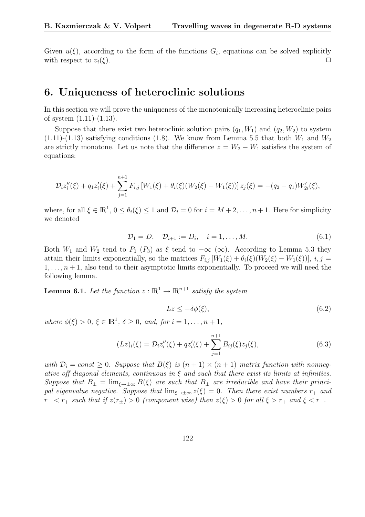Given  $u(\xi)$ , according to the form of the functions  $G_i$ , equations can be solved explicitly with respect to  $v_i(\xi)$ .

#### 6. Uniqueness of heteroclinic solutions

In this section we will prove the uniqueness of the monotonically increasing heteroclinic pairs of system (1.11)-(1.13).

Suppose that there exist two heteroclinic solution pairs  $(q_1, W_1)$  and  $(q_2, W_2)$  to system  $(1.11)-(1.13)$  satisfying conditions (1.8). We know from Lemma 5.5 that both  $W_1$  and  $W_2$ are strictly monotone. Let us note that the difference  $z = W_2 - W_1$  satisfies the system of equations:

$$
\mathcal{D}_i z_i''(\xi) + q_1 z_i'(\xi) + \sum_{j=1}^{n+1} F_{i,j} \left[ W_1(\xi) + \theta_i(\xi) (W_2(\xi) - W_1(\xi)) \right] z_j(\xi) = -(q_2 - q_1) W'_{2i}(\xi),
$$

where, for all  $\xi \in \mathbb{R}^1$ ,  $0 \le \theta_i(\xi) \le 1$  and  $\mathcal{D}_i = 0$  for  $i = M + 2, \ldots, n + 1$ . Here for simplicity we denoted

$$
\mathcal{D}_1 = D, \quad \mathcal{D}_{i+1} := D_i, \quad i = 1, \dots, M. \tag{6.1}
$$

Both  $W_1$  and  $W_2$  tend to  $P_1$  ( $P_3$ ) as  $\xi$  tend to  $-\infty$  ( $\infty$ ). According to Lemma 5.3 they attain their limits exponentially, so the matrices  $F_{i,j}$  [ $W_1(\xi) + \theta_i(\xi)(W_2(\xi) - W_1(\xi))$ ],  $i, j =$  $1, \ldots, n+1$ , also tend to their asymptotic limits exponentially. To proceed we will need the following lemma.

**Lemma 6.1.** Let the function  $z : \mathbb{R}^1 \to \mathbb{R}^{n+1}$  satisfy the system

$$
Lz \le -\delta\phi(\xi),\tag{6.2}
$$

where  $\phi(\xi) > 0, \xi \in \mathbb{R}^1, \delta \geq 0, \text{ and, for } i = 1, \ldots, n+1,$ 

$$
(Lz)_i(\xi) = \mathcal{D}_i z_i''(\xi) + qz_i'(\xi) + \sum_{j=1}^{n+1} B_{ij}(\xi) z_j(\xi), \qquad (6.3)
$$

with  $\mathcal{D}_i = const > 0$ . Suppose that  $B(\xi)$  is  $(n+1) \times (n+1)$  matrix function with nonnegative off-diagonal elements, continuous in  $\xi$  and such that there exist its limits at infinities. Suppose that  $B_{\pm} = \lim_{\xi \to \pm \infty} B(\xi)$  are such that  $B_{\pm}$  are irreducible and have their principal eigenvalue negative. Suppose that  $\lim_{\xi \to \pm \infty} z(\xi) = 0$ . Then there exist numbers  $r_+$  and  $r_$  <  $r_+$  such that if  $z(r_+) > 0$  (component wise) then  $z(\xi) > 0$  for all  $\xi > r_+$  and  $\xi < r_-$ .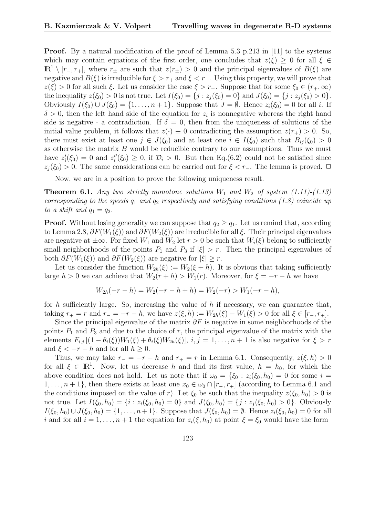**Proof.** By a natural modification of the proof of Lemma 5.3 p.213 in [11] to the systems which may contain equations of the first order, one concludes that  $z(\xi) \geq 0$  for all  $\xi \in$  $\mathbb{R}^1 \setminus [r_-, r_+]$ , where  $r_{\pm}$  are such that  $z(r_{\pm}) > 0$  and the principal eigenvalues of  $B(\xi)$  are negative and  $B(\xi)$  is irreducible for  $\xi > r_+$  and  $\xi < r_-$ . Using this property, we will prove that  $z(\xi) > 0$  for all such  $\xi$ . Let us consider the case  $\xi > r_+$ . Suppose that for some  $\xi_0 \in (r_+,\infty)$ the inequality  $z(\xi_0) > 0$  is not true. Let  $I(\xi_0) = \{j : z_j(\xi_0) = 0\}$  and  $J(\xi_0) = \{j : z_j(\xi_0) > 0\}$ . Obviously  $I(\xi_0) \cup J(\xi_0) = \{1, \ldots, n+1\}$ . Suppose that  $J = \emptyset$ . Hence  $z_i(\xi_0) = 0$  for all i. If  $\delta > 0$ , then the left hand side of the equation for  $z_i$  is nonnegative whereas the right hand side is negative - a contradiction. If  $\delta = 0$ , then from the uniqueness of solutions of the initial value problem, it follows that  $z(\cdot) \equiv 0$  contradicting the assumption  $z(r_+) > 0$ . So, there must exist at least one  $j \in J(\xi_0)$  and at least one  $i \in I(\xi_0)$  such that  $B_{ij}(\xi_0) > 0$ as otherwise the matrix  $B$  would be reducible contrary to our assumptions. Thus we must have  $z_i'(\xi_0) = 0$  and  $z_i''(\xi_0) \geq 0$ , if  $\mathcal{D}_i > 0$ . But then Eq.(6.2) could not be satisfied since  $z_j(\xi_0) > 0$ . The same considerations can be carried out for  $\xi < r_-\$ . The lemma is proved.  $\Box$ 

Now, we are in a position to prove the following uniqueness result.

**Theorem 6.1.** Any two strictly monotone solutions  $W_1$  and  $W_2$  of system (1.11)-(1.13) corresponding to the speeds  $q_1$  and  $q_2$  respectively and satisfying conditions (1.8) coincide up to a shift and  $q_1 = q_2$ .

**Proof.** Without losing generality we can suppose that  $q_2 \geq q_1$ . Let us remind that, according to Lemma 2.8,  $\partial F(W_1(\xi))$  and  $\partial F(W_2(\xi))$  are irreducible for all  $\xi$ . Their principal eigenvalues are negative at  $\pm \infty$ . For fixed  $W_1$  and  $W_2$  let  $r > 0$  be such that  $W_i(\xi)$  belong to sufficiently small neighborhoods of the points  $P_1$  and  $P_3$  if  $|\xi| > r$ . Then the principal eigenvalues of both  $\partial F(W_1(\xi))$  and  $\partial F(W_2(\xi))$  are negative for  $|\xi| \geq r$ .

Let us consider the function  $W_{2h}(\xi) := W_2(\xi + h)$ . It is obvious that taking sufficiently large  $h > 0$  we can achieve that  $W_2(r+h) > W_1(r)$ . Moreover, for  $\xi = -r - h$  we have

$$
W_{2h}(-r-h) = W_2(-r-h+h) = W_2(-r) > W_1(-r-h),
$$

for h sufficiently large. So, increasing the value of h if necessary, we can guarantee that, taking  $r_{+} = r$  and  $r_{-} = -r - h$ , we have  $z(\xi, h) := W_{2h}(\xi) - W_{1}(\xi) > 0$  for all  $\xi \in [r_{-}, r_{+}]$ .

Since the principal eigenvalue of the matrix  $\partial F$  is negative in some neighborhoods of the points  $P_1$  and  $P_3$  and due to the choice of r, the principal eigenvalue of the matrix with the elements  $F_{i,j}$   $[(1 - \theta_i(\xi))W_1(\xi) + \theta_i(\xi)W_{2h}(\xi)], i, j = 1, \ldots, n+1$  is also negative for  $\xi > r$ and  $\xi < -r - h$  and for all  $h \geq 0$ .

Thus, we may take  $r_ - = -r - h$  and  $r_ + = r$  in Lemma 6.1. Consequently,  $z(\xi, h) > 0$ for all  $\xi \in \mathbb{R}^1$ . Now, let us decrease h and find its first value,  $h = h_0$ , for which the above condition does not hold. Let us note that if  $\omega_0 = {\xi_0 : z_i(\xi_0, h_0) = 0}$  for some  $i =$  $1, \ldots, n+1\}$ , then there exists at least one  $x_0 \in \omega_0 \cap [r_-, r_+]$  (according to Lemma 6.1 and the conditions imposed on the value of r). Let  $\xi_0$  be such that the inequality  $z(\xi_0, h_0) > 0$  is not true. Let  $I(\xi_0, h_0) = \{i : z_i(\xi_0, h_0) = 0\}$  and  $J(\xi_0, h_0) = \{j : z_j(\xi_0, h_0) > 0\}$ . Obviously  $I(\xi_0, h_0) \cup J(\xi_0, h_0) = \{1, \ldots, n+1\}.$  Suppose that  $J(\xi_0, h_0) = \emptyset$ . Hence  $z_i(\xi_0, h_0) = 0$  for all i and for all  $i = 1, \ldots, n + 1$  the equation for  $z_i(\xi, h_0)$  at point  $\xi = \xi_0$  would have the form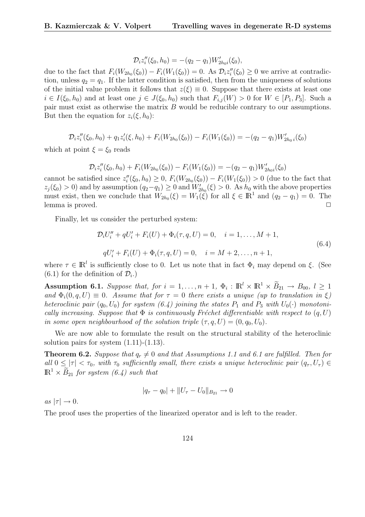$$
\mathcal{D}_i z_i''(\xi_0, h_0) = -(q_2 - q_1) W'_{2h_0i}(\xi_0),
$$

due to the fact that  $F_i(W_{2h_0}(\xi_0)) - F_i(W_1(\xi_0)) = 0$ . As  $\mathcal{D}_i z''_i(\xi_0) \geq 0$  we arrive at contradiction, unless  $q_2 = q_1$ . If the latter condition is satisfied, then from the uniqueness of solutions of the initial value problem it follows that  $z(\xi) \equiv 0$ . Suppose that there exists at least one  $i \in I(\xi_0, h_0)$  and at least one  $j \in J(\xi_0, h_0)$  such that  $F_{i,j}(W) > 0$  for  $W \in [P_1, P_3]$ . Such a pair must exist as otherwise the matrix B would be reducible contrary to our assumptions. But then the equation for  $z_i(\xi, h_0)$ :

$$
\mathcal{D}_i z_i''(\xi_0, h_0) + q_1 z_i'(\xi, h_0) + F_i(W_{2h_0}(\xi_0)) - F_i(W_1(\xi_0)) = -(q_2 - q_1)W_{2h_0}(\xi_0)
$$

which at point  $\xi = \xi_0$  reads

$$
\mathcal{D}_i z_i''(\xi_0, h_0) + F_i(W_{2h_0}(\xi_0)) - F_i(W_1(\xi_0)) = -(q_2 - q_1)W'_{2h_0i}(\xi_0)
$$

cannot be satisfied since  $z_i''(\xi_0, h_0) \geq 0$ ,  $F_i(W_{2h_0}(\xi_0)) - F_i(W_1(\xi_0)) > 0$  (due to the fact that  $z_j(\xi_0) > 0$  and by assumption  $(q_2 - q_1) \ge 0$  and  $W'_{2h_0}(\xi) > 0$ . As  $h_0$  with the above properties must exist, then we conclude that  $W_{2h_0}(\xi) = W_1(\xi)$  for all  $\xi \in \mathbb{R}^1$  and  $(q_2 - q_1) = 0$ . The lemma is proved.  $\Box$ 

Finally, let us consider the perturbed system:

$$
\mathcal{D}_i U_i'' + qU_i' + F_i(U) + \Phi_i(\tau, q, U) = 0, \quad i = 1, ..., M + 1,
$$
  
\n
$$
qU_i' + F_i(U) + \Phi_i(\tau, q, U) = 0, \quad i = M + 2, ..., n + 1,
$$
\n(6.4)

where  $\tau \in \mathbb{R}^l$  is sufficiently close to 0. Let us note that in fact  $\Phi_i$  may depend on  $\xi$ . (See  $(6.1)$  for the definition of  $\mathcal{D}_i$ .)

Assumption 6.1. Suppose that, for  $i = 1, ..., n + 1$ ,  $\Phi_i : \mathbb{R}^l \times \mathbb{R}^1 \times \widetilde{B}_{21} \to B_{00}$ ,  $l \geq 1$ and  $\Phi_i(0, q, U) \equiv 0$ . Assume that for  $\tau = 0$  there exists a unique (up to translation in  $\xi$ ) heteroclinic pair  $(q_0, U_0)$  for system  $(6.4)$  joining the states  $P_1$  and  $P_3$  with  $U_0(\cdot)$  monotonically increasing. Suppose that  $\Phi$  is continuously Fréchet differentiable with respect to  $(q, U)$ in some open neighbourhood of the solution triple  $(\tau, q, U) = (0, q_0, U_0)$ .

We are now able to formulate the result on the structural stability of the heteroclinic solution pairs for system  $(1.11)-(1.13)$ .

**Theorem 6.2.** Suppose that  $q_r \neq 0$  and that Assumptions 1.1 and 6.1 are fulfilled. Then for all  $0 \le |\tau| < \tau_0$ , with  $\tau_0$  sufficiently small, there exists a unique heteroclinic pair  $(q_\tau, U_\tau) \in$  $\mathbb{R}^1 \times B_{21}$  for system (6.4) such that

$$
|q_{\tau} - q_0| + ||U_{\tau} - U_0||_{B_{21}} \to 0
$$

as  $|\tau| \to 0$ .

The proof uses the properties of the linearized operator and is left to the reader.